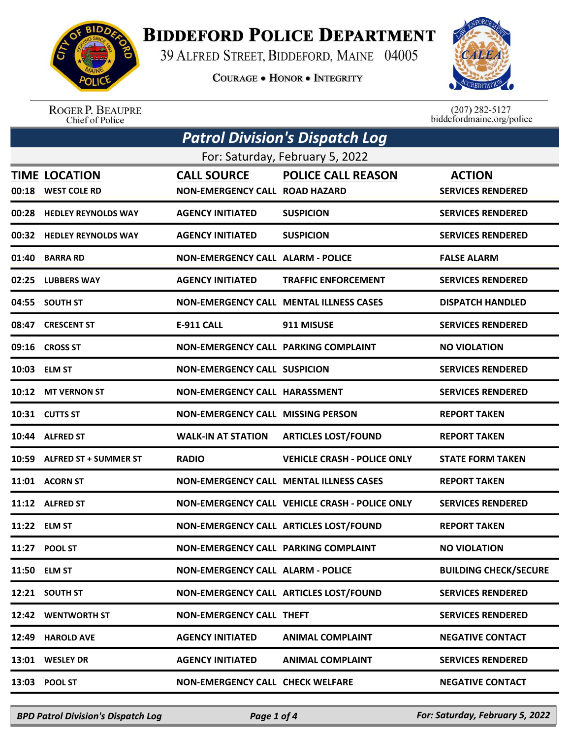

## **BIDDEFORD POLICE DEPARTMENT**

39 ALFRED STREET, BIDDEFORD, MAINE 04005

**COURAGE . HONOR . INTEGRITY** 



ROGER P. BEAUPRE<br>Chief of Police

 $(207)$  282-5127<br>biddefordmaine.org/police

| <b>Patrol Division's Dispatch Log</b> |                                            |                                                             |                                                |                                           |  |
|---------------------------------------|--------------------------------------------|-------------------------------------------------------------|------------------------------------------------|-------------------------------------------|--|
| For: Saturday, February 5, 2022       |                                            |                                                             |                                                |                                           |  |
|                                       | <b>TIME LOCATION</b><br>00:18 WEST COLE RD | <b>CALL SOURCE</b><br><b>NON-EMERGENCY CALL ROAD HAZARD</b> | <b>POLICE CALL REASON</b>                      | <b>ACTION</b><br><b>SERVICES RENDERED</b> |  |
|                                       | 00:28 HEDLEY REYNOLDS WAY                  | <b>AGENCY INITIATED</b>                                     | <b>SUSPICION</b>                               | <b>SERVICES RENDERED</b>                  |  |
|                                       | 00:32 HEDLEY REYNOLDS WAY                  | <b>AGENCY INITIATED</b>                                     | <b>SUSPICION</b>                               | <b>SERVICES RENDERED</b>                  |  |
| 01:40                                 | <b>BARRA RD</b>                            | <b>NON-EMERGENCY CALL ALARM - POLICE</b>                    |                                                | <b>FALSE ALARM</b>                        |  |
|                                       | 02:25 LUBBERS WAY                          | <b>AGENCY INITIATED</b>                                     | <b>TRAFFIC ENFORCEMENT</b>                     | <b>SERVICES RENDERED</b>                  |  |
|                                       | 04:55 SOUTH ST                             |                                                             | <b>NON-EMERGENCY CALL MENTAL ILLNESS CASES</b> | <b>DISPATCH HANDLED</b>                   |  |
|                                       | 08:47 CRESCENT ST                          | <b>E-911 CALL</b>                                           | 911 MISUSE                                     | <b>SERVICES RENDERED</b>                  |  |
|                                       | 09:16 CROSS ST                             | NON-EMERGENCY CALL PARKING COMPLAINT                        |                                                | <b>NO VIOLATION</b>                       |  |
|                                       | 10:03 ELM ST                               | <b>NON-EMERGENCY CALL SUSPICION</b>                         |                                                | <b>SERVICES RENDERED</b>                  |  |
|                                       | 10:12 MT VERNON ST                         | NON-EMERGENCY CALL HARASSMENT                               |                                                | <b>SERVICES RENDERED</b>                  |  |
|                                       | 10:31 CUTTS ST                             | <b>NON-EMERGENCY CALL MISSING PERSON</b>                    |                                                | <b>REPORT TAKEN</b>                       |  |
|                                       | 10:44 ALFRED ST                            | <b>WALK-IN AT STATION</b>                                   | <b>ARTICLES LOST/FOUND</b>                     | <b>REPORT TAKEN</b>                       |  |
|                                       | 10:59 ALFRED ST + SUMMER ST                | <b>RADIO</b>                                                | <b>VEHICLE CRASH - POLICE ONLY</b>             | <b>STATE FORM TAKEN</b>                   |  |
|                                       | 11:01 ACORN ST                             |                                                             | <b>NON-EMERGENCY CALL MENTAL ILLNESS CASES</b> | <b>REPORT TAKEN</b>                       |  |
|                                       | 11:12 ALFRED ST                            |                                                             | NON-EMERGENCY CALL VEHICLE CRASH - POLICE ONLY | <b>SERVICES RENDERED</b>                  |  |
|                                       | 11:22 ELM ST                               |                                                             | NON-EMERGENCY CALL ARTICLES LOST/FOUND         | <b>REPORT TAKEN</b>                       |  |
|                                       | 11:27 POOL ST                              | NON-EMERGENCY CALL PARKING COMPLAINT                        |                                                | <b>NO VIOLATION</b>                       |  |
|                                       | 11:50 ELM ST                               | <b>NON-EMERGENCY CALL ALARM - POLICE</b>                    |                                                | <b>BUILDING CHECK/SECURE</b>              |  |
|                                       | 12:21 SOUTH ST                             |                                                             | NON-EMERGENCY CALL ARTICLES LOST/FOUND         | <b>SERVICES RENDERED</b>                  |  |
|                                       | 12:42 WENTWORTH ST                         | <b>NON-EMERGENCY CALL THEFT</b>                             |                                                | <b>SERVICES RENDERED</b>                  |  |
| 12:49                                 | <b>HAROLD AVE</b>                          | <b>AGENCY INITIATED</b>                                     | <b>ANIMAL COMPLAINT</b>                        | <b>NEGATIVE CONTACT</b>                   |  |
|                                       | 13:01 WESLEY DR                            | <b>AGENCY INITIATED</b>                                     | <b>ANIMAL COMPLAINT</b>                        | <b>SERVICES RENDERED</b>                  |  |
| 13:03                                 | <b>POOL ST</b>                             | <b>NON-EMERGENCY CALL CHECK WELFARE</b>                     |                                                | <b>NEGATIVE CONTACT</b>                   |  |

*BPD Patrol Division's Dispatch Log Page 1 of 4 For: Saturday, February 5, 2022*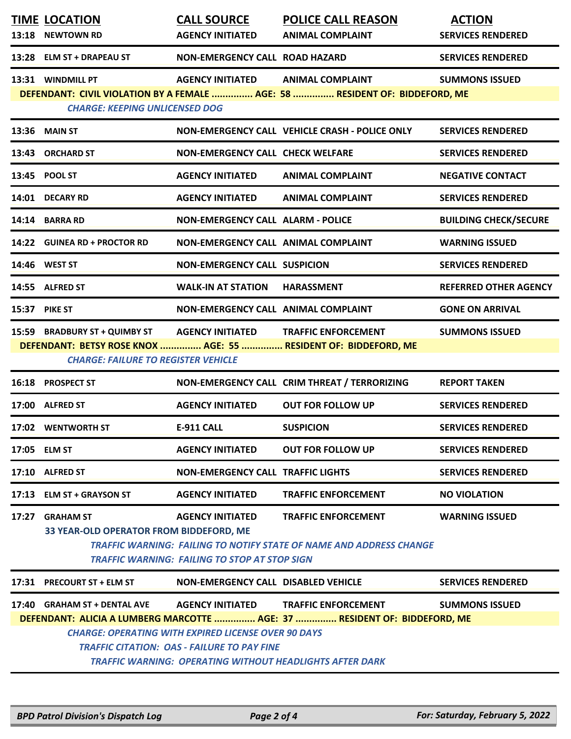|                                                                                                                                    | <b>TIME LOCATION</b>                           | <b>CALL SOURCE</b>                       | <b>POLICE CALL REASON</b>                                                   | <b>ACTION</b>                |  |
|------------------------------------------------------------------------------------------------------------------------------------|------------------------------------------------|------------------------------------------|-----------------------------------------------------------------------------|------------------------------|--|
|                                                                                                                                    | 13:18 NEWTOWN RD                               | <b>AGENCY INITIATED</b>                  | <b>ANIMAL COMPLAINT</b>                                                     | <b>SERVICES RENDERED</b>     |  |
|                                                                                                                                    | 13:28 ELM ST + DRAPEAU ST                      | NON-EMERGENCY CALL ROAD HAZARD           |                                                                             | <b>SERVICES RENDERED</b>     |  |
|                                                                                                                                    | 13:31 WINDMILL PT                              | <b>AGENCY INITIATED</b>                  | <b>ANIMAL COMPLAINT</b>                                                     | <b>SUMMONS ISSUED</b>        |  |
|                                                                                                                                    | <b>CHARGE: KEEPING UNLICENSED DOG</b>          |                                          | DEFENDANT: CIVIL VIOLATION BY A FEMALE  AGE: 58  RESIDENT OF: BIDDEFORD, ME |                              |  |
|                                                                                                                                    | 13:36 MAIN ST                                  |                                          | NON-EMERGENCY CALL VEHICLE CRASH - POLICE ONLY                              | <b>SERVICES RENDERED</b>     |  |
|                                                                                                                                    | 13:43 ORCHARD ST                               | <b>NON-EMERGENCY CALL CHECK WELFARE</b>  |                                                                             | <b>SERVICES RENDERED</b>     |  |
|                                                                                                                                    | 13:45 POOL ST                                  | <b>AGENCY INITIATED</b>                  | <b>ANIMAL COMPLAINT</b>                                                     | <b>NEGATIVE CONTACT</b>      |  |
|                                                                                                                                    | 14:01 DECARY RD                                | <b>AGENCY INITIATED</b>                  | <b>ANIMAL COMPLAINT</b>                                                     | <b>SERVICES RENDERED</b>     |  |
|                                                                                                                                    | 14:14 BARRA RD                                 | <b>NON-EMERGENCY CALL ALARM - POLICE</b> |                                                                             | <b>BUILDING CHECK/SECURE</b> |  |
|                                                                                                                                    | 14:22 GUINEA RD + PROCTOR RD                   | NON-EMERGENCY CALL ANIMAL COMPLAINT      |                                                                             | <b>WARNING ISSUED</b>        |  |
|                                                                                                                                    | 14:46 WEST ST                                  | <b>NON-EMERGENCY CALL SUSPICION</b>      |                                                                             | <b>SERVICES RENDERED</b>     |  |
|                                                                                                                                    | 14:55 ALFRED ST                                | <b>WALK-IN AT STATION</b>                | <b>HARASSMENT</b>                                                           | <b>REFERRED OTHER AGENCY</b> |  |
|                                                                                                                                    | 15:37 PIKE ST                                  | NON-EMERGENCY CALL ANIMAL COMPLAINT      |                                                                             | <b>GONE ON ARRIVAL</b>       |  |
|                                                                                                                                    | 15:59 BRADBURY ST + QUIMBY ST AGENCY INITIATED |                                          | <b>TRAFFIC ENFORCEMENT</b>                                                  | <b>SUMMONS ISSUED</b>        |  |
|                                                                                                                                    | <b>CHARGE: FAILURE TO REGISTER VEHICLE</b>     |                                          | DEFENDANT: BETSY ROSE KNOX  AGE: 55  RESIDENT OF: BIDDEFORD, ME             |                              |  |
|                                                                                                                                    | 16:18 PROSPECT ST                              |                                          | NON-EMERGENCY CALL CRIM THREAT / TERRORIZING                                | <b>REPORT TAKEN</b>          |  |
|                                                                                                                                    | 17:00 ALFRED ST                                | <b>AGENCY INITIATED</b>                  | <b>OUT FOR FOLLOW UP</b>                                                    | <b>SERVICES RENDERED</b>     |  |
|                                                                                                                                    | 17:02 WENTWORTH ST                             | E-911 CALL                               | <b>SUSPICION</b>                                                            | <b>SERVICES RENDERED</b>     |  |
|                                                                                                                                    | 17:05 ELM ST                                   | <b>AGENCY INITIATED</b>                  | <b>OUT FOR FOLLOW UP</b>                                                    | <b>SERVICES RENDERED</b>     |  |
|                                                                                                                                    | 17:10 ALFRED ST                                | <b>NON-EMERGENCY CALL TRAFFIC LIGHTS</b> |                                                                             | <b>SERVICES RENDERED</b>     |  |
|                                                                                                                                    | 17:13 ELM ST + GRAYSON ST                      | <b>AGENCY INITIATED</b>                  | <b>TRAFFIC ENFORCEMENT</b>                                                  | <b>NO VIOLATION</b>          |  |
|                                                                                                                                    | 17:27 GRAHAM ST                                | <b>AGENCY INITIATED</b>                  | <b>TRAFFIC ENFORCEMENT</b>                                                  | <b>WARNING ISSUED</b>        |  |
|                                                                                                                                    | 33 YEAR-OLD OPERATOR FROM BIDDEFORD, ME        |                                          |                                                                             |                              |  |
| <b>TRAFFIC WARNING: FAILING TO NOTIFY STATE OF NAME AND ADDRESS CHANGE</b><br><b>TRAFFIC WARNING: FAILING TO STOP AT STOP SIGN</b> |                                                |                                          |                                                                             |                              |  |
|                                                                                                                                    | 17:31 PRECOURT ST + ELM ST                     | NON-EMERGENCY CALL DISABLED VEHICLE      |                                                                             | <b>SERVICES RENDERED</b>     |  |
|                                                                                                                                    | 17:40 GRAHAM ST + DENTAL AVE                   | <b>AGENCY INITIATED</b>                  | <b>TRAFFIC ENFORCEMENT</b>                                                  | <b>SUMMONS ISSUED</b>        |  |
| DEFENDANT: ALICIA A LUMBERG MARCOTTE  AGE: 37  RESIDENT OF: BIDDEFORD, ME                                                          |                                                |                                          |                                                                             |                              |  |
| <b>CHARGE: OPERATING WITH EXPIRED LICENSE OVER 90 DAYS</b><br><b>TRAFFIC CITATION: OAS - FAILURE TO PAY FINE</b>                   |                                                |                                          |                                                                             |                              |  |
| <b>TRAFFIC WARNING: OPERATING WITHOUT HEADLIGHTS AFTER DARK</b>                                                                    |                                                |                                          |                                                                             |                              |  |
|                                                                                                                                    |                                                |                                          |                                                                             |                              |  |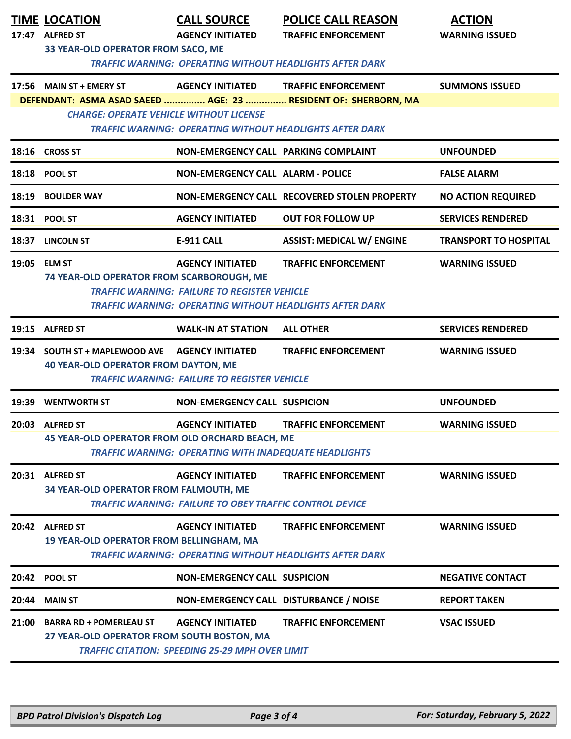|       | <b>TIME LOCATION</b><br><b>ALFRED ST</b>                                                                               | <b>CALL SOURCE</b><br><b>AGENCY INITIATED</b>                  | <b>POLICE CALL REASON</b>                                       | <b>ACTION</b>                |  |  |
|-------|------------------------------------------------------------------------------------------------------------------------|----------------------------------------------------------------|-----------------------------------------------------------------|------------------------------|--|--|
| 17:47 | 33 YEAR-OLD OPERATOR FROM SACO, ME                                                                                     |                                                                | <b>TRAFFIC ENFORCEMENT</b>                                      | <b>WARNING ISSUED</b>        |  |  |
|       |                                                                                                                        |                                                                | <b>TRAFFIC WARNING: OPERATING WITHOUT HEADLIGHTS AFTER DARK</b> |                              |  |  |
|       | 17:56 MAIN ST + EMERY ST                                                                                               | <b>AGENCY INITIATED</b>                                        | <b>TRAFFIC ENFORCEMENT</b>                                      | <b>SUMMONS ISSUED</b>        |  |  |
|       |                                                                                                                        |                                                                | DEFENDANT: ASMA ASAD SAEED  AGE: 23  RESIDENT OF: SHERBORN, MA  |                              |  |  |
|       | <b>CHARGE: OPERATE VEHICLE WITHOUT LICENSE</b>                                                                         |                                                                | <b>TRAFFIC WARNING: OPERATING WITHOUT HEADLIGHTS AFTER DARK</b> |                              |  |  |
|       | 18:16 CROSS ST                                                                                                         | NON-EMERGENCY CALL PARKING COMPLAINT                           |                                                                 | <b>UNFOUNDED</b>             |  |  |
|       | 18:18 POOL ST                                                                                                          | <b>NON-EMERGENCY CALL ALARM - POLICE</b>                       |                                                                 | <b>FALSE ALARM</b>           |  |  |
| 18:19 | <b>BOULDER WAY</b>                                                                                                     |                                                                | NON-EMERGENCY CALL RECOVERED STOLEN PROPERTY                    | <b>NO ACTION REQUIRED</b>    |  |  |
| 18:31 | <b>POOL ST</b>                                                                                                         | <b>AGENCY INITIATED</b>                                        | <b>OUT FOR FOLLOW UP</b>                                        | <b>SERVICES RENDERED</b>     |  |  |
|       | 18:37 LINCOLN ST                                                                                                       | E-911 CALL                                                     | <b>ASSIST: MEDICAL W/ ENGINE</b>                                | <b>TRANSPORT TO HOSPITAL</b> |  |  |
|       | 19:05 ELM ST                                                                                                           | <b>AGENCY INITIATED</b>                                        | <b>TRAFFIC ENFORCEMENT</b>                                      | <b>WARNING ISSUED</b>        |  |  |
|       | 74 YEAR-OLD OPERATOR FROM SCARBOROUGH, ME                                                                              |                                                                |                                                                 |                              |  |  |
|       | <b>TRAFFIC WARNING: FAILURE TO REGISTER VEHICLE</b><br><b>TRAFFIC WARNING: OPERATING WITHOUT HEADLIGHTS AFTER DARK</b> |                                                                |                                                                 |                              |  |  |
|       |                                                                                                                        |                                                                |                                                                 |                              |  |  |
|       | 19:15 ALFRED ST                                                                                                        | <b>WALK-IN AT STATION</b>                                      | <b>ALL OTHER</b>                                                | <b>SERVICES RENDERED</b>     |  |  |
|       | 19:34 SOUTH ST + MAPLEWOOD AVE                                                                                         | <b>AGENCY INITIATED</b>                                        | <b>TRAFFIC ENFORCEMENT</b>                                      | <b>WARNING ISSUED</b>        |  |  |
|       | <b>40 YEAR-OLD OPERATOR FROM DAYTON, ME</b>                                                                            | <b>TRAFFIC WARNING: FAILURE TO REGISTER VEHICLE</b>            |                                                                 |                              |  |  |
|       |                                                                                                                        |                                                                |                                                                 |                              |  |  |
| 19:39 | <b>WENTWORTH ST</b>                                                                                                    | <b>NON-EMERGENCY CALL SUSPICION</b>                            |                                                                 | <b>UNFOUNDED</b>             |  |  |
| 20:03 | <b>ALFRED ST</b>                                                                                                       | <b>AGENCY INITIATED</b>                                        | <b>TRAFFIC ENFORCEMENT</b>                                      | <b>WARNING ISSUED</b>        |  |  |
|       | 45 YEAR-OLD OPERATOR FROM OLD ORCHARD BEACH, ME                                                                        |                                                                |                                                                 |                              |  |  |
|       |                                                                                                                        | <b>TRAFFIC WARNING: OPERATING WITH INADEQUATE HEADLIGHTS</b>   |                                                                 |                              |  |  |
|       | 20:31 ALFRED ST                                                                                                        | <b>AGENCY INITIATED</b>                                        | <b>TRAFFIC ENFORCEMENT</b>                                      | <b>WARNING ISSUED</b>        |  |  |
|       | 34 YEAR-OLD OPERATOR FROM FALMOUTH, ME                                                                                 | <b>TRAFFIC WARNING: FAILURE TO OBEY TRAFFIC CONTROL DEVICE</b> |                                                                 |                              |  |  |
|       | 20:42 ALFRED ST                                                                                                        | <b>AGENCY INITIATED</b>                                        | <b>TRAFFIC ENFORCEMENT</b>                                      | <b>WARNING ISSUED</b>        |  |  |
|       | <b>19 YEAR-OLD OPERATOR FROM BELLINGHAM, MA</b>                                                                        |                                                                |                                                                 |                              |  |  |
|       |                                                                                                                        |                                                                | <b>TRAFFIC WARNING: OPERATING WITHOUT HEADLIGHTS AFTER DARK</b> |                              |  |  |
| 20:42 | <b>POOL ST</b>                                                                                                         | <b>NON-EMERGENCY CALL SUSPICION</b>                            |                                                                 | <b>NEGATIVE CONTACT</b>      |  |  |
| 20:44 | <b>MAIN ST</b>                                                                                                         | NON-EMERGENCY CALL DISTURBANCE / NOISE                         |                                                                 | <b>REPORT TAKEN</b>          |  |  |
| 21:00 | <b>BARRA RD + POMERLEAU ST</b>                                                                                         | <b>AGENCY INITIATED</b>                                        | <b>TRAFFIC ENFORCEMENT</b>                                      | <b>VSAC ISSUED</b>           |  |  |
|       | 27 YEAR-OLD OPERATOR FROM SOUTH BOSTON, MA                                                                             |                                                                |                                                                 |                              |  |  |
|       |                                                                                                                        | <b>TRAFFIC CITATION: SPEEDING 25-29 MPH OVER LIMIT</b>         |                                                                 |                              |  |  |